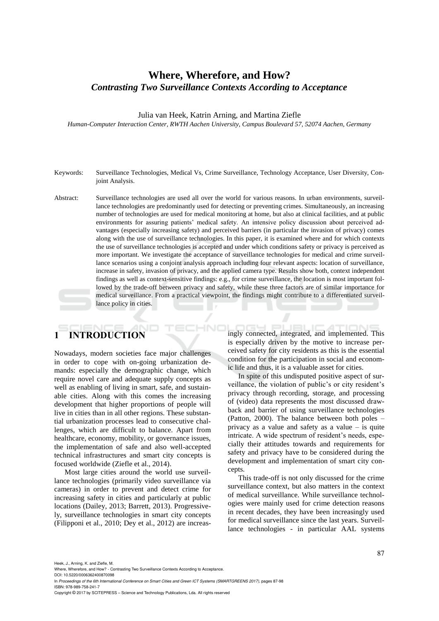# **Where, Wherefore, and How?**  *Contrasting Two Surveillance Contexts According to Acceptance*

Julia van Heek, Katrin Arning, and Martina Ziefle

*Human-Computer Interaction Center, RWTH Aachen University, Campus Boulevard 57, 52074 Aachen, Germany* 

- Keywords: Surveillance Technologies, Medical Vs, Crime Surveillance, Technology Acceptance, User Diversity, Conjoint Analysis.
- Abstract: Surveillance technologies are used all over the world for various reasons. In urban environments, surveillance technologies are predominantly used for detecting or preventing crimes. Simultaneously, an increasing number of technologies are used for medical monitoring at home, but also at clinical facilities, and at public environments for assuring patients' medical safety. An intensive policy discussion about perceived advantages (especially increasing safety) and perceived barriers (in particular the invasion of privacy) comes along with the use of surveillance technologies. In this paper, it is examined where and for which contexts the use of surveillance technologies is accepted and under which conditions safety or privacy is perceived as more important. We investigate the acceptance of surveillance technologies for medical and crime surveillance scenarios using a conjoint analysis approach including four relevant aspects: location of surveillance, increase in safety, invasion of privacy, and the applied camera type. Results show both, context independent findings as well as context-sensitive findings: e.g., for crime surveillance, the location is most important followed by the trade-off between privacy and safety, while these three factors are of similar importance for medical surveillance. From a practical viewpoint, the findings might contribute to a differentiated surveillance policy in cities.

# **1 INTRODUCTION**

Nowadays, modern societies face major challenges in order to cope with on-going urbanization demands: especially the demographic change, which require novel care and adequate supply concepts as well as enabling of living in smart, safe, and sustainable cities. Along with this comes the increasing development that higher proportions of people will live in cities than in all other regions. These substantial urbanization processes lead to consecutive challenges, which are difficult to balance. Apart from healthcare, economy, mobility, or governance issues, the implementation of safe and also well-accepted technical infrastructures and smart city concepts is focused worldwide (Ziefle et al., 2014).

Most large cities around the world use surveillance technologies (primarily video surveillance via cameras) in order to prevent and detect crime for increasing safety in cities and particularly at public locations (Dailey, 2013; Barrett, 2013). Progressively, surveillance technologies in smart city concepts (Filipponi et al., 2010; Dey et al., 2012) are increas-

ingly connected, integrated, and implemented. This is especially driven by the motive to increase perceived safety for city residents as this is the essential condition for the participation in social and economic life and thus, it is a valuable asset for cities.

In spite of this undisputed positive aspect of surveillance, the violation of public's or city resident's privacy through recording, storage, and processing of (video) data represents the most discussed drawback and barrier of using surveillance technologies (Patton, 2000). The balance between both poles – privacy as a value and safety as a value – is quite intricate. A wide spectrum of resident's needs, especially their attitudes towards and requirements for safety and privacy have to be considered during the development and implementation of smart city concepts.

This trade-off is not only discussed for the crime surveillance context, but also matters in the context of medical surveillance. While surveillance technologies were mainly used for crime detection reasons in recent decades, they have been increasingly used for medical surveillance since the last years. Surveillance technologies - in particular AAL systems

Heek, J., Arning, K. and Ziefle, M.

In *Proceedings of the 6th International Conference on Smart Cities and Green ICT Systems (SMARTGREENS 2017)*, pages 87-98 ISBN: 978-989-758-241-7

Copyright © 2017 by SCITEPRESS – Science and Technology Publications, Lda. All rights reserved

Where, Wherefore, and How? - Contrasting Two Surveillance Contexts According to Acceptance DOI: 10.5220/0006362400870098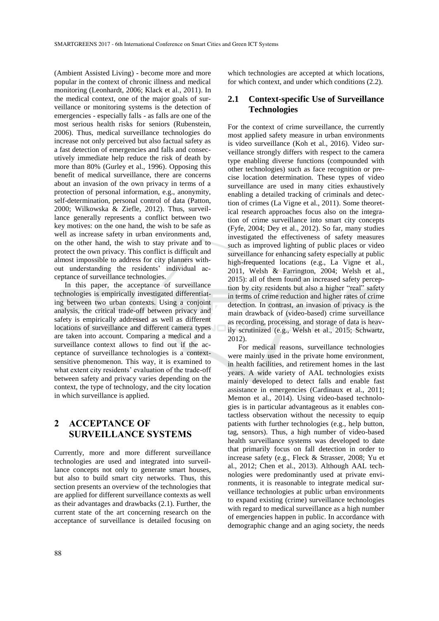(Ambient Assisted Living) - become more and more popular in the context of chronic illness and medical monitoring (Leonhardt, 2006; Klack et al., 2011). In the medical context, one of the major goals of surveillance or monitoring systems is the detection of emergencies - especially falls - as falls are one of the most serious health risks for seniors (Rubenstein, 2006). Thus, medical surveillance technologies do increase not only perceived but also factual safety as a fast detection of emergencies and falls and consecutively immediate help reduce the risk of death by more than 80% (Gurley et al., 1996). Opposing this benefit of medical surveillance, there are concerns about an invasion of the own privacy in terms of a protection of personal information, e.g., anonymity, self-determination, personal control of data (Patton, 2000; Wilkowska & Ziefle, 2012). Thus, surveillance generally represents a conflict between two key motives: on the one hand, the wish to be safe as well as increase safety in urban environments and, on the other hand, the wish to stay private and to protect the own privacy. This conflict is difficult and almost impossible to address for city planners without understanding the residents' individual acceptance of surveillance technologies.

In this paper, the acceptance of surveillance technologies is empirically investigated differentiating between two urban contexts. Using a conjoint analysis, the critical trade-off between privacy and safety is empirically addressed as well as different locations of surveillance and different camera types are taken into account. Comparing a medical and a surveillance context allows to find out if the acceptance of surveillance technologies is a contextsensitive phenomenon. This way, it is examined to what extent city residents' evaluation of the trade-off between safety and privacy varies depending on the context, the type of technology, and the city location in which surveillance is applied.

# **2 ACCEPTANCE OF SURVEILLANCE SYSTEMS**

Currently, more and more different surveillance technologies are used and integrated into surveillance concepts not only to generate smart houses, but also to build smart city networks. Thus, this section presents an overview of the technologies that are applied for different surveillance contexts as well as their advantages and drawbacks (2.1). Further, the current state of the art concerning research on the acceptance of surveillance is detailed focusing on

which technologies are accepted at which locations, for which context, and under which conditions (2.2).

#### **2.1 Context-specific Use of Surveillance Technologies**

For the context of crime surveillance, the currently most applied safety measure in urban environments is video surveillance (Koh et al., 2016). Video surveillance strongly differs with respect to the camera type enabling diverse functions (compounded with other technologies) such as face recognition or precise location determination. These types of video surveillance are used in many cities exhaustively enabling a detailed tracking of criminals and detection of crimes (La Vigne et al., 2011). Some theoretical research approaches focus also on the integration of crime surveillance into smart city concepts (Fyfe, 2004; Dey et al., 2012). So far, many studies investigated the effectiveness of safety measures such as improved lighting of public places or video surveillance for enhancing safety especially at public high-frequented locations (e.g., La Vigne et al., 2011, Welsh & Farrington, 2004; Welsh et al., 2015): all of them found an increased safety perception by city residents but also a higher "real" safety in terms of crime reduction and higher rates of crime detection. In contrast, an invasion of privacy is the main drawback of (video-based) crime surveillance as recording, processing, and storage of data is heavily scrutinized (e.g., Welsh et al., 2015; Schwartz, 2012).

For medical reasons, surveillance technologies were mainly used in the private home environment, in health facilities, and retirement homes in the last years. A wide variety of AAL technologies exists mainly developed to detect falls and enable fast assistance in emergencies (Cardinaux et al., 2011; Memon et al., 2014). Using video-based technologies is in particular advantageous as it enables contactless observation without the necessity to equip patients with further technologies (e.g., help button, tag, sensors). Thus, a high number of video-based health surveillance systems was developed to date that primarily focus on fall detection in order to increase safety (e.g., Fleck & Strasser, 2008; Yu et al., 2012; Chen et al., 2013). Although AAL technologies were predominantly used at private environments, it is reasonable to integrate medical surveillance technologies at public urban environments to expand existing (crime) surveillance technologies with regard to medical surveillance as a high number of emergencies happen in public. In accordance with demographic change and an aging society, the needs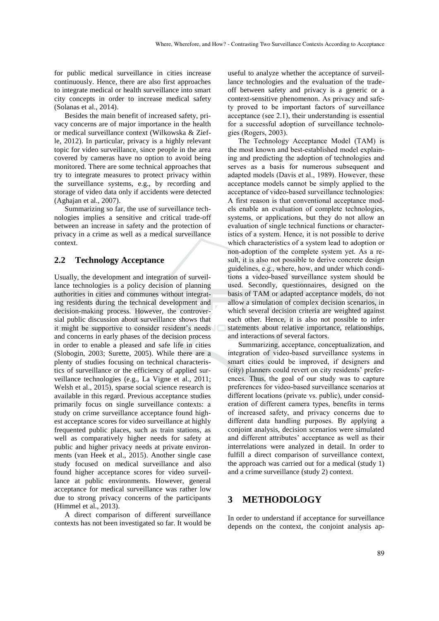for public medical surveillance in cities increase continuously. Hence, there are also first approaches to integrate medical or health surveillance into smart city concepts in order to increase medical safety (Solanas et al., 2014).

Besides the main benefit of increased safety, privacy concerns are of major importance in the health or medical surveillance context (Wilkowska & Ziefle, 2012). In particular, privacy is a highly relevant topic for video surveillance, since people in the area covered by cameras have no option to avoid being monitored. There are some technical approaches that try to integrate measures to protect privacy within the surveillance systems, e.g., by recording and storage of video data only if accidents were detected (Aghajan et al., 2007).

Summarizing so far, the use of surveillance technologies implies a sensitive and critical trade-off between an increase in safety and the protection of privacy in a crime as well as a medical surveillance context.

#### **2.2 Technology Acceptance**

Usually, the development and integration of surveillance technologies is a policy decision of planning authorities in cities and communes without integrating residents during the technical development and decision-making process. However, the controversial public discussion about surveillance shows that it might be supportive to consider resident's needs and concerns in early phases of the decision process in order to enable a pleased and safe life in cities (Slobogin, 2003; Surette, 2005). While there are a plenty of studies focusing on technical characteristics of surveillance or the efficiency of applied surveillance technologies (e.g., La Vigne et al., 2011; Welsh et al., 2015), sparse social science research is available in this regard. Previous acceptance studies primarily focus on single surveillance contexts: a study on crime surveillance acceptance found highest acceptance scores for video surveillance at highly frequented public places, such as train stations, as well as comparatively higher needs for safety at public and higher privacy needs at private environments (van Heek et al., 2015). Another single case study focused on medical surveillance and also found higher acceptance scores for video surveillance at public environments. However, general acceptance for medical surveillance was rather low due to strong privacy concerns of the participants (Himmel et al., 2013).

A direct comparison of different surveillance contexts has not been investigated so far. It would be

useful to analyze whether the acceptance of surveillance technologies and the evaluation of the tradeoff between safety and privacy is a generic or a context-sensitive phenomenon. As privacy and safety proved to be important factors of surveillance acceptance (see 2.1), their understanding is essential for a successful adoption of surveillance technologies (Rogers, 2003).

The Technology Acceptance Model (TAM) is the most known and best-established model explaining and predicting the adoption of technologies and serves as a basis for numerous subsequent and adapted models (Davis et al., 1989). However, these acceptance models cannot be simply applied to the acceptance of video-based surveillance technologies: A first reason is that conventional acceptance models enable an evaluation of complete technologies, systems, or applications, but they do not allow an evaluation of single technical functions or characteristics of a system. Hence, it is not possible to derive which characteristics of a system lead to adoption or non-adoption of the complete system yet. As a result, it is also not possible to derive concrete design guidelines, e.g., where, how, and under which conditions a video-based surveillance system should be used. Secondly, questionnaires, designed on the basis of TAM or adapted acceptance models, do not allow a simulation of complex decision scenarios, in which several decision criteria are weighted against each other. Hence, it is also not possible to infer statements about relative importance, relationships, and interactions of several factors.

Summarizing, acceptance, conceptualization, and integration of video-based surveillance systems in smart cities could be improved, if designers and (city) planners could revert on city residents' preferences. Thus, the goal of our study was to capture preferences for video-based surveillance scenarios at different locations (private vs. public), under consideration of different camera types, benefits in terms of increased safety, and privacy concerns due to different data handling purposes. By applying a conjoint analysis, decision scenarios were simulated and different attributes' acceptance as well as their interrelations were analyzed in detail. In order to fulfill a direct comparison of surveillance context, the approach was carried out for a medical (study 1) and a crime surveillance (study 2) context.

### **3 METHODOLOGY**

In order to understand if acceptance for surveillance depends on the context, the conjoint analysis ap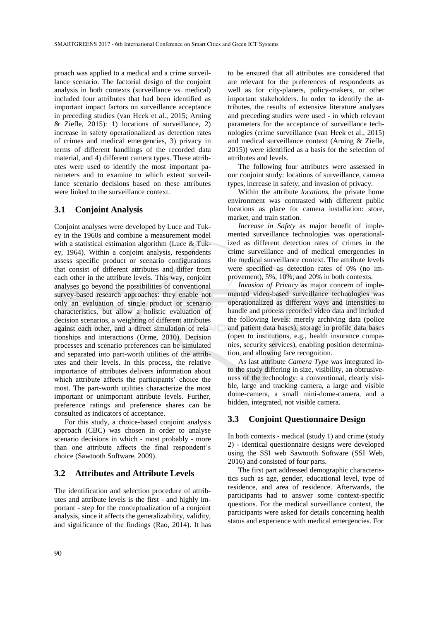proach was applied to a medical and a crime surveillance scenario. The factorial design of the conjoint analysis in both contexts (surveillance vs. medical) included four attributes that had been identified as important impact factors on surveillance acceptance in preceding studies (van Heek et al., 2015; Arning & Ziefle,  $2015$ : 1) locations of surveillance, 2) increase in safety operationalized as detection rates of crimes and medical emergencies, 3) privacy in terms of different handlings of the recorded data material, and 4) different camera types. These attributes were used to identify the most important parameters and to examine to which extent surveillance scenario decisions based on these attributes were linked to the surveillance context.

#### **3.1 Conjoint Analysis**

Conjoint analyses were developed by Luce and Tukey in the 1960s and combine a measurement model with a statistical estimation algorithm (Luce & Tukey, 1964). Within a conjoint analysis, respondents assess specific product or scenario configurations that consist of different attributes and differ from each other in the attribute levels. This way, conjoint analyses go beyond the possibilities of conventional survey-based research approaches: they enable not only an evaluation of single product or scenario characteristics, but allow a holistic evaluation of decision scenarios, a weighting of different attributes against each other, and a direct simulation of relationships and interactions (Orme, 2010). Decision processes and scenario preferences can be simulated and separated into part-worth utilities of the attributes and their levels. In this process, the relative importance of attributes delivers information about which attribute affects the participants' choice the most. The part-worth utilities characterize the most important or unimportant attribute levels. Further, preference ratings and preference shares can be consulted as indicators of acceptance.

For this study, a choice-based conjoint analysis approach (CBC) was chosen in order to analyse scenario decisions in which - most probably - more than one attribute affects the final respondent's choice (Sawtooth Software, 2009).

#### **3.2 Attributes and Attribute Levels**

The identification and selection procedure of attributes and attribute levels is the first - and highly important - step for the conceptualization of a conjoint analysis, since it affects the generalizability, validity, and significance of the findings (Rao, 2014). It has

to be ensured that all attributes are considered that are relevant for the preferences of respondents as well as for city-planers, policy-makers, or other important stakeholders. In order to identify the attributes, the results of extensive literature analyses and preceding studies were used - in which relevant parameters for the acceptance of surveillance technologies (crime surveillance (van Heek et al., 2015) and medical surveillance context (Arning & Ziefle, 2015)) were identified as a basis for the selection of attributes and levels.

The following four attributes were assessed in our conjoint study: locations of surveillance, camera types, increase in safety, and invasion of privacy.

Within the attribute *locations*, the private home environment was contrasted with different public locations as place for camera installation: store, market, and train station.

*Increase in Safety* as major benefit of implemented surveillance technologies was operationalized as different detection rates of crimes in the crime surveillance and of medical emergencies in the medical surveillance context. The attribute levels were specified as detection rates of 0% (no improvement), 5%, 10%, and 20% in both contexts.

*Invasion of Privacy* as major concern of implemented video-based surveillance technologies was operationalized as different ways and intensities to handle and process recorded video data and included the following levels: merely archiving data (police and patient data bases), storage in profile data bases (open to institutions, e.g., health insurance companies, security services), enabling position determination, and allowing face recognition.

As last attribute *Camera Type* was integrated into the study differing in size, visibility, an obtrusiveness of the technology: a conventional, clearly visible, large and tracking camera, a large and visible dome-camera, a small mini-dome-camera, and a hidden, integrated, not visible camera.

### **3.3 Conjoint Questionnaire Design**

In both contexts - medical (study 1) and crime (study 2) - identical questionnaire designs were developed using the SSI web Sawtooth Software (SSI Web, 2016) and consisted of four parts.

The first part addressed demographic characteristics such as age, gender, educational level, type of residence, and area of residence. Afterwards, the participants had to answer some context-specific questions. For the medical surveillance context, the participants were asked for details concerning health status and experience with medical emergencies. For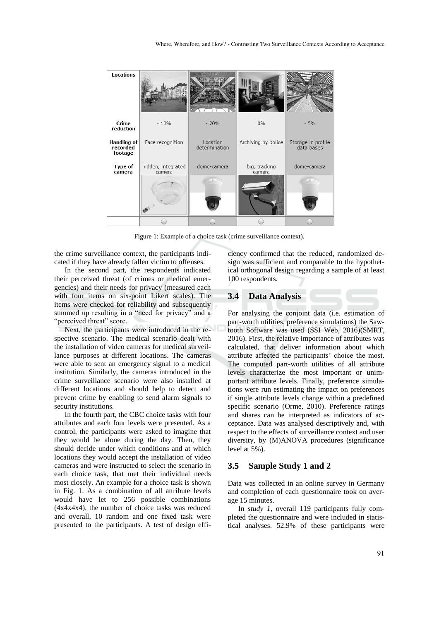

Figure 1: Example of a choice task (crime surveillance context).

the crime surveillance context, the participants indicated if they have already fallen victim to offenses.

In the second part, the respondents indicated their perceived threat (of crimes or medical emergencies) and their needs for privacy (measured each with four items on six-point Likert scales). The items were checked for reliability and subsequently summed up resulting in a "need for privacy" and a "perceived threat" score.

Next, the participants were introduced in the respective scenario. The medical scenario dealt with the installation of video cameras for medical surveillance purposes at different locations. The cameras were able to sent an emergency signal to a medical institution. Similarly, the cameras introduced in the crime surveillance scenario were also installed at different locations and should help to detect and prevent crime by enabling to send alarm signals to security institutions.

In the fourth part, the CBC choice tasks with four attributes and each four levels were presented. As a control, the participants were asked to imagine that they would be alone during the day. Then, they should decide under which conditions and at which locations they would accept the installation of video cameras and were instructed to select the scenario in each choice task, that met their individual needs most closely. An example for a choice task is shown in Fig. 1. As a combination of all attribute levels would have let to 256 possible combinations (4x4x4x4), the number of choice tasks was reduced and overall, 10 random and one fixed task were presented to the participants. A test of design efficiency confirmed that the reduced, randomized design was sufficient and comparable to the hypothetical orthogonal design regarding a sample of at least 100 respondents.

#### **3.4 Data Analysis**

For analysing the conjoint data (i.e. estimation of part-worth utilities, preference simulations) the Sawtooth Software was used (SSI Web, 2016)(SMRT, 2016). First, the relative importance of attributes was calculated, that deliver information about which attribute affected the participants' choice the most. The computed part-worth utilities of all attribute levels characterize the most important or unimportant attribute levels. Finally, preference simulations were run estimating the impact on preferences if single attribute levels change within a predefined specific scenario (Orme, 2010). Preference ratings and shares can be interpreted as indicators of acceptance. Data was analysed descriptively and, with respect to the effects of surveillance context and user diversity, by (M)ANOVA procedures (significance level at 5%).

#### **3.5 Sample Study 1 and 2**

Data was collected in an online survey in Germany and completion of each questionnaire took on average 15 minutes.

In *study 1*, overall 119 participants fully completed the questionnaire and were included in statistical analyses. 52.9% of these participants were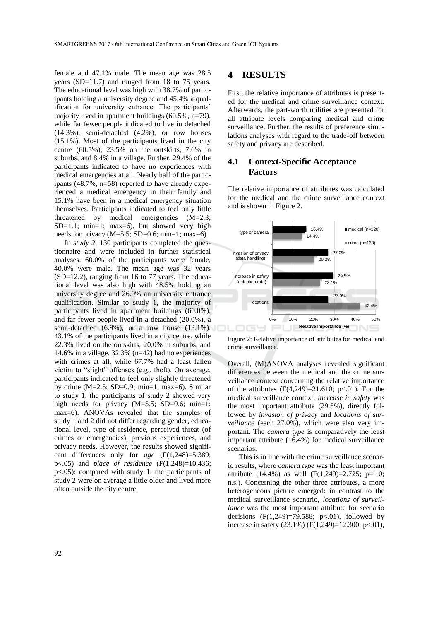female and 47.1% male. The mean age was 28.5 years (SD=11.7) and ranged from 18 to 75 years. The educational level was high with 38.7% of participants holding a university degree and 45.4% a qualification for university entrance. The participants' majority lived in apartment buildings (60.5%, n=79), while far fewer people indicated to live in detached (14.3%), semi-detached (4.2%), or row houses (15.1%). Most of the participants lived in the city centre (60.5%), 23.5% on the outskirts, 7.6% in suburbs, and 8.4% in a village. Further, 29.4% of the participants indicated to have no experiences with medical emergencies at all. Nearly half of the participants (48.7%, n=58) reported to have already experienced a medical emergency in their family and 15.1% have been in a medical emergency situation themselves. Participants indicated to feel only little threatened by medical emergencies (M=2.3;  $SD=1.1$ ; min=1; max=6), but showed very high needs for privacy  $(M=5.5; SD=0.6; min=1; max=6)$ .

In *study 2*, 130 participants completed the questionnaire and were included in further statistical analyses. 60.0% of the participants were female, 40.0% were male. The mean age was 32 years (SD=12.2), ranging from 16 to 77 years. The educational level was also high with 48.5% holding an university degree and 26.9% an university entrance qualification. Similar to study 1, the majority of participants lived in apartment buildings (60.0%), and far fewer people lived in a detached (20.0%), a semi-detached (6.9%), or a row house (13.1%). 43.1% of the participants lived in a city centre, while 22.3% lived on the outskirts, 20.0% in suburbs, and 14.6% in a village. 32.3% (n=42) had no experiences with crimes at all, while 67.7% had a least fallen victim to "slight" offenses (e.g., theft). On average, participants indicated to feel only slightly threatened by crime  $(M=2.5; SD=0.9; min=1; max=6)$ . Similar to study 1, the participants of study 2 showed very high needs for privacy  $(M=5.5; SD=0.6; min=1;$ max=6). ANOVAs revealed that the samples of study 1 and 2 did not differ regarding gender, educational level, type of residence, perceived threat (of crimes or emergencies), previous experiences, and privacy needs. However, the results showed significant differences only for *age* (F(1,248)=5.389; p<.05) and *place of residence* (F(1,248)=10.436; p<.05): compared with study 1, the participants of study 2 were on average a little older and lived more often outside the city centre.

### **4 RESULTS**

First, the relative importance of attributes is presented for the medical and crime surveillance context. Afterwards, the part-worth utilities are presented for all attribute levels comparing medical and crime surveillance. Further, the results of preference simulations analyses with regard to the trade-off between safety and privacy are described.

### **4.1 Context-Specific Acceptance Factors**

The relative importance of attributes was calculated for the medical and the crime surveillance context and is shown in Figure 2.



Figure 2: Relative importance of attributes for medical and crime surveillance.

Overall, (M)ANOVA analyses revealed significant differences between the medical and the crime surveillance context concerning the relative importance of the attributes  $(F(4,249)=21.610; p<0.01)$ . For the medical surveillance context, *increase in safety* was the most important attribute (29.5%), directly followed by *invasion of privacy* and *locations of surveillance* (each 27.0%), which were also very important. The *camera type* is comparatively the least important attribute (16.4%) for medical surveillance scenarios.

This is in line with the crime surveillance scenario results, where *camera type* was the least important attribute (14.4%) as well  $(F(1,249)=2.725; p=.10;$ n.s.). Concerning the other three attributes, a more heterogeneous picture emerged: in contrast to the medical surveillance scenario, *locations of surveillance* was the most important attribute for scenario decisions  $(F(1,249)=79.588; p<0.01)$ , followed by increase in safety  $(23.1\%)$  (F $(1,249)$ =12.300; p<.01),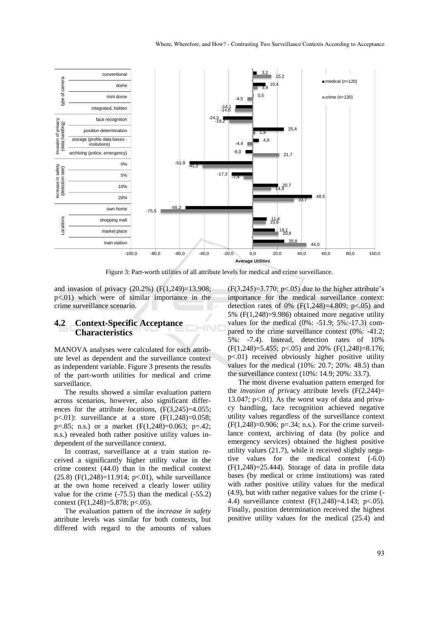

Figure 3: Part-worth utilities of all attribute levels for medical and crime surveillance.

and invasion of privacy (20.2%) (F(1,249)=13.908; p<.01) which were of similar importance in the crime surveillance scenario.

#### **4.2 Context-Specific Acceptance Characteristics**

MANOVA analyses were calculated for each attribute level as dependent and the surveillance context as independent variable. Figure 3 presents the results of the part-worth utilities for medical and crime surveillance.

The results showed a similar evaluation pattern across scenarios, however, also significant differences for the attribute *locations*, (F(3,245)=4.055;  $p<.01$ : surveillance at a store  $(F(1,248)=0.058;$ p=.85; n.s.) or a market  $(F(1,248)=0.063; p=.42;$ n.s.) revealed both rather positive utility values independent of the surveillance context.

In contrast, surveillance at a train station received a significantly higher utility value in the crime context (44.0) than in the medical context (25.8) (F(1,248)=11.914; p<.01), while surveillance at the own home received a clearly lower utility value for the crime  $(-75.5)$  than the medical  $(-55.2)$ context  $(F(1,248)=5.878; p<.05)$ .

The evaluation pattern of the *increase in safety* attribute levels was similar for both contexts, but differed with regard to the amounts of values

 $(F(3,245)=3.770; p<.05)$  due to the higher attribute's importance for the medical surveillance context: detection rates of 0%  $(F(1,248)=4.809; p<.05)$  and 5% (F(1,248)=9.986) obtained more negative utility values for the medical (0%: -51.9; 5%:-17.3) compared to the crime surveillance context (0%: -41.2; 5%: -7.4). Instead, detection rates of 10% (F(1,248)=5.455; p<.05) and 20% (F(1,248)=8.176; p<.01) received obviously higher positive utility values for the medical (10%: 20.7; 20%: 48.5) than the surveillance context (10%: 14.9; 20%: 33.7).

The most diverse evaluation pattern emerged for the *invasion of priv*acy attribute levels (F(2,244)= 13.047;  $p<0$ 1). As the worst way of data and privacy handling, face recognition achieved negative utility values regardless of the surveillance context  $(F(1,248)=0.906; p=.34; n.s.).$  For the crime surveillance context, archiving of data (by police and emergency services) obtained the highest positive utility values (21.7), while it received slightly negative values for the medical context (-6.0)  $(F(1,248)=25.444)$ . Storage of data in profile data bases (by medical or crime institutions) was rated with rather positive utility values for the medical (4.9), but with rather negative values for the crime (- 4.4) surveillance context (F(1,248)=4.143; p<.05). Finally, position determination received the highest positive utility values for the medical (25.4) and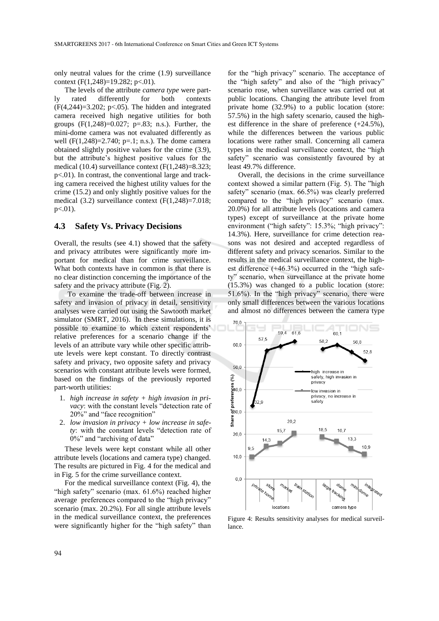only neutral values for the crime (1.9) surveillance context (F(1,248)=19.282; p<.01).

The levels of the attribute *camera type* were partly rated differently for both contexts  $(F(4,244)=3.202; p<0.05)$ . The hidden and integrated camera received high negative utilities for both groups  $(F(1,248)=0.027; p=.83; n.s.).$  Further, the mini-dome camera was not evaluated differently as well  $(F(1,248)=2.740; p=.1; n.s.).$  The dome camera obtained slightly positive values for the crime (3.9), but the attribute's highest positive values for the medical (10.4) surveillance context (F(1,248)=8.323; p<.01). In contrast, the conventional large and tracking camera received the highest utility values for the crime (15.2) and only slightly positive values for the medical (3.2) surveillance context (F(1,248)=7.018;  $p<.01$ ).

#### **4.3 Safety Vs. Privacy Decisions**

Overall, the results (see 4.1) showed that the safety and privacy attributes were significantly more important for medical than for crime surveillance. What both contexts have in common is that there is no clear distinction concerning the importance of the safety and the privacy attribute (Fig. 2).

To examine the trade-off between increase in safety and invasion of privacy in detail, sensitivity analyses were carried out using the Sawtooth market simulator (SMRT, 2016). In these simulations, it is possible to examine to which extent respondents' relative preferences for a scenario change if the levels of an attribute vary while other specific attribute levels were kept constant. To directly contrast safety and privacy, two opposite safety and privacy scenarios with constant attribute levels were formed, based on the findings of the previously reported part-worth utilities:

- 1. *high increase in safety + high invasion in privacy*: with the constant levels "detection rate of 20%" and "face recognition"
- 2. *low invasion in privacy + low increase in safety*: with the constant levels "detection rate of 0%" and "archiving of data"

These levels were kept constant while all other attribute levels (locations and camera type) changed. The results are pictured in Fig. 4 for the medical and in Fig. 5 for the crime surveillance context.

For the medical surveillance context (Fig. 4), the "high safety" scenario (max. 61.6%) reached higher average preferences compared to the "high privacy" scenario (max. 20.2%). For all single attribute levels in the medical surveillance context, the preferences were significantly higher for the "high safety" than

for the "high privacy" scenario. The acceptance of the "high safety" and also of the "high privacy" scenario rose, when surveillance was carried out at public locations. Changing the attribute level from private home (32.9%) to a public location (store: 57.5%) in the high safety scenario, caused the highest difference in the share of preference (+24.5%), while the differences between the various public locations were rather small. Concerning all camera types in the medical surveillance context, the "high safety" scenario was consistently favoured by at least 49.7% difference.

Overall, the decisions in the crime surveillance context showed a similar pattern (Fig. 5). The "high safety" scenario (max. 66.5%) was clearly preferred compared to the "high privacy" scenario (max. 20.0%) for all attribute levels (locations and camera types) except of surveillance at the private home environment ("high safety": 15.3%; "high privacy": 14.3%). Here, surveillance for crime detection reasons was not desired and accepted regardless of different safety and privacy scenarios. Similar to the results in the medical surveillance context, the highest difference (+46.3%) occurred in the "high safety" scenario, when surveillance at the private home (15.3%) was changed to a public location (store: 51.6%). In the "high privacy" scenario, there were only small differences between the various locations and almost no differences between the camera type



Figure 4: Results sensitivity analyses for medical surveillance.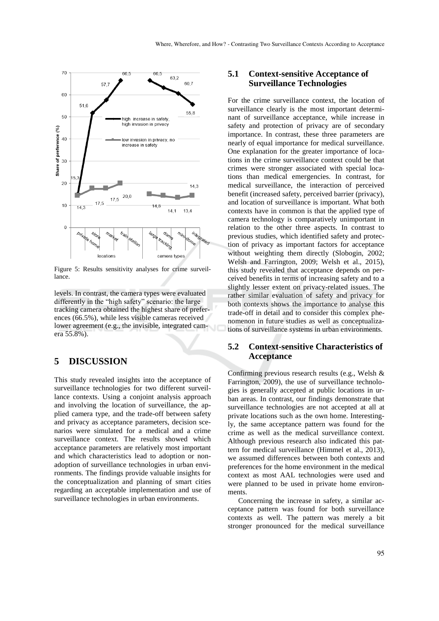

Figure 5: Results sensitivity analyses for crime surveillance.

levels. In contrast, the camera types were evaluated differently in the "high safety" scenario: the large tracking camera obtained the highest share of preferences (66.5%), while less visible cameras received lower agreement (e.g., the invisible, integrated camera 55.8%).

## **5 DISCUSSION**

This study revealed insights into the acceptance of surveillance technologies for two different surveillance contexts. Using a conjoint analysis approach and involving the location of surveillance, the applied camera type, and the trade-off between safety and privacy as acceptance parameters, decision scenarios were simulated for a medical and a crime surveillance context. The results showed which acceptance parameters are relatively most important and which characteristics lead to adoption or nonadoption of surveillance technologies in urban environments. The findings provide valuable insights for the conceptualization and planning of smart cities regarding an acceptable implementation and use of surveillance technologies in urban environments.

### **5.1 Context-sensitive Acceptance of Surveillance Technologies**

For the crime surveillance context, the location of surveillance clearly is the most important determinant of surveillance acceptance, while increase in safety and protection of privacy are of secondary importance. In contrast, these three parameters are nearly of equal importance for medical surveillance. One explanation for the greater importance of locations in the crime surveillance context could be that crimes were stronger associated with special locations than medical emergencies. In contrast, for medical surveillance, the interaction of perceived benefit (increased safety, perceived barrier (privacy), and location of surveillance is important. What both contexts have in common is that the applied type of camera technology is comparatively unimportant in relation to the other three aspects. In contrast to previous studies, which identified safety and protection of privacy as important factors for acceptance without weighting them directly (Slobogin, 2002; Welsh and Farrington, 2009; Welsh et al., 2015), this study revealed that acceptance depends on perceived benefits in terms of increasing safety and to a slightly lesser extent on privacy-related issues. The rather similar evaluation of safety and privacy for both contexts shows the importance to analyse this trade-off in detail and to consider this complex phenomenon in future studies as well as conceptualizations of surveillance systems in urban environments.

### **5.2 Context-sensitive Characteristics of Acceptance**

Confirming previous research results (e.g., Welsh & Farrington, 2009), the use of surveillance technologies is generally accepted at public locations in urban areas. In contrast, our findings demonstrate that surveillance technologies are not accepted at all at private locations such as the own home. Interestingly, the same acceptance pattern was found for the crime as well as the medical surveillance context. Although previous research also indicated this pattern for medical surveillance (Himmel et al., 2013), we assumed differences between both contexts and preferences for the home environment in the medical context as most AAL technologies were used and were planned to be used in private home environments.

Concerning the increase in safety, a similar acceptance pattern was found for both surveillance contexts as well. The pattern was merely a bit stronger pronounced for the medical surveillance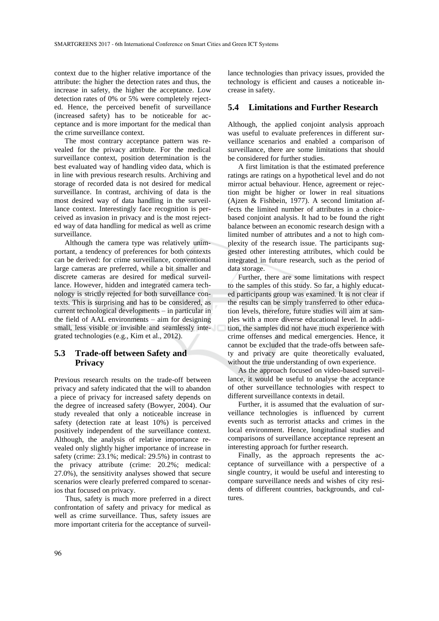context due to the higher relative importance of the attribute: the higher the detection rates and thus, the increase in safety, the higher the acceptance. Low detection rates of 0% or 5% were completely rejected. Hence, the perceived benefit of surveillance (increased safety) has to be noticeable for acceptance and is more important for the medical than the crime surveillance context.

The most contrary acceptance pattern was revealed for the privacy attribute. For the medical surveillance context, position determination is the best evaluated way of handling video data, which is in line with previous research results. Archiving and storage of recorded data is not desired for medical surveillance. In contrast, archiving of data is the most desired way of data handling in the surveillance context. Interestingly face recognition is perceived as invasion in privacy and is the most rejected way of data handling for medical as well as crime surveillance.

Although the camera type was relatively unimportant, a tendency of preferences for both contexts can be derived: for crime surveillance, conventional large cameras are preferred, while a bit smaller and discrete cameras are desired for medical surveillance. However, hidden and integrated camera technology is strictly rejected for both surveillance contexts. This is surprising and has to be considered, as current technological developments – in particular in the field of AAL environments – aim for designing small, less visible or invisible and seamlessly integrated technologies (e.g., Kim et al., 2012).

### **5.3 Trade-off between Safety and Privacy**

Previous research results on the trade-off between privacy and safety indicated that the will to abandon a piece of privacy for increased safety depends on the degree of increased safety (Bowyer, 2004). Our study revealed that only a noticeable increase in safety (detection rate at least 10%) is perceived positively independent of the surveillance context. Although, the analysis of relative importance revealed only slightly higher importance of increase in safety (crime: 23.1%; medical: 29.5%) in contrast to the privacy attribute (crime: 20.2%; medical: 27.0%), the sensitivity analyses showed that secure scenarios were clearly preferred compared to scenarios that focused on privacy.

Thus, safety is much more preferred in a direct confrontation of safety and privacy for medical as well as crime surveillance. Thus, safety issues are more important criteria for the acceptance of surveil-

lance technologies than privacy issues, provided the technology is efficient and causes a noticeable increase in safety.

#### **5.4 Limitations and Further Research**

Although, the applied conjoint analysis approach was useful to evaluate preferences in different surveillance scenarios and enabled a comparison of surveillance, there are some limitations that should be considered for further studies.

A first limitation is that the estimated preference ratings are ratings on a hypothetical level and do not mirror actual behaviour. Hence, agreement or rejection might be higher or lower in real situations (Ajzen & Fishbein, 1977). A second limitation affects the limited number of attributes in a choicebased conjoint analysis. It had to be found the right balance between an economic research design with a limited number of attributes and a not to high complexity of the research issue. The participants suggested other interesting attributes, which could be integrated in future research, such as the period of data storage.

Further, there are some limitations with respect to the samples of this study. So far, a highly educated participants group was examined. It is not clear if the results can be simply transferred to other education levels, therefore, future studies will aim at samples with a more diverse educational level. In addition, the samples did not have much experience with crime offenses and medical emergencies. Hence, it cannot be excluded that the trade-offs between safety and privacy are quite theoretically evaluated, without the true understanding of own experience.

As the approach focused on video-based surveillance, it would be useful to analyse the acceptance of other surveillance technologies with respect to different surveillance contexts in detail.

Further, it is assumed that the evaluation of surveillance technologies is influenced by current events such as terrorist attacks and crimes in the local environment. Hence, longitudinal studies and comparisons of surveillance acceptance represent an interesting approach for further research.

Finally, as the approach represents the acceptance of surveillance with a perspective of a single country, it would be useful and interesting to compare surveillance needs and wishes of city residents of different countries, backgrounds, and cultures.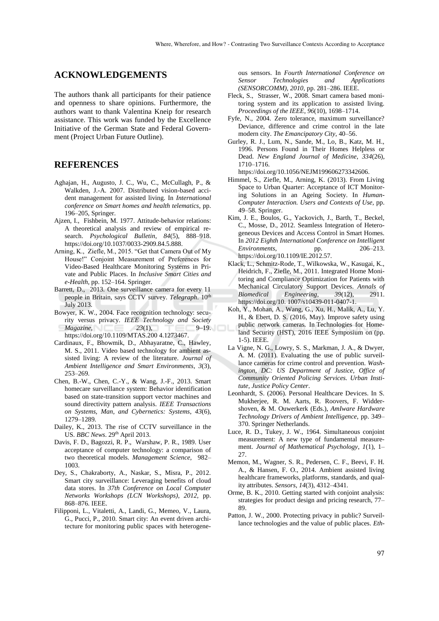### **ACKNOWLEDGEMENTS**

The authors thank all participants for their patience and openness to share opinions. Furthermore, the authors want to thank Valentina Kneip for research assistance. This work was funded by the Excellence Initiative of the German State and Federal Government (Project Urban Future Outline).

### **REFERENCES**

- Aghajan, H., Augusto, J. C., Wu, C., McCullagh, P., & Walkden, J.-A. 2007. Distributed vision-based accident management for assisted living. In *International conference on Smart homes and health telematics*, pp. 196–205, Springer.
- Ajzen, I., Fishbein, M. 1977. Attitude-behavior relations: A theoretical analysis and review of empirical research. *Psychological Bulletin*, *84*(5), 888–918. https://doi.org/10.1037/0033-2909.84.5.888.
- Arning, K., Ziefle, M., 2015. "Get that Camera Out of My House!" Conjoint Measurement of Preferences for Video-Based Healthcare Monitoring Systems in Private and Public Places. In *Inclusive Smart Cities and e-Health*, pp. 152–164. Springer.
- Barrett, D., 2013. One surveillance camera for every 11 people in Britain, says CCTV survey. *Telegraph*. 10<sup>th</sup> July 2013.
- Bowyer, K. W., 2004. Face recognition technology: security versus privacy. *IEEE Technology and Society Magazine*, *23*(1), 9–19. https://doi.org/10.1109/MTAS.200 4.1273467.
- Cardinaux, F., Bhowmik, D., Abhayaratne, C., Hawley, M. S., 2011. Video based technology for ambient assisted living: A review of the literature. *Journal of Ambient Intelligence and Smart Environments*, *3*(3), 253–269.
- Chen, B.-W., Chen, C.-Y., & Wang, J.-F., 2013. Smart homecare surveillance system: Behavior identification based on state-transition support vector machines and sound directivity pattern analysis. *IEEE Transactions on Systems, Man, and Cybernetics: Systems*, *43*(6), 1279–1289.
- Dailey, K., 2013. The rise of CCTV surveillance in the US. *BBC News*. 29th April 2013.
- Davis, F. D., Bagozzi, R. P., Warshaw, P. R., 1989. User acceptance of computer technology: a comparison of two theoretical models. *Management Science*, 982– 1003.
- Dey, S., Chakraborty, A., Naskar, S., Misra, P., 2012. Smart city surveillance: Leveraging benefits of cloud data stores. In *37th Conference on Local Computer Networks Workshops (LCN Workshops), 2012,* pp. 868–876. IEEE.
- Filipponi, L., Vitaletti, A., Landi, G., Memeo, V., Laura, G., Pucci, P., 2010. Smart city: An event driven architecture for monitoring public spaces with heterogene-

ous sensors. In *Fourth International Conference on Sensor Technologies and Applications (SENSORCOMM), 2010,* pp. 281–286. IEEE.

- Fleck, S., Strasser, W., 2008. Smart camera based monitoring system and its application to assisted living. *Proceedings of the IEEE*, *96*(10), 1698–1714.
- Fyfe, N., 2004. Zero tolerance, maximum surveillance? Deviance, difference and crime control in the late modern city. *The Emancipatory City*, 40–56.
- Gurley, R. J., Lum, N., Sande, M., Lo, B., Katz, M. H., 1996. Persons Found in Their Homes Helpless or Dead. *New England Journal of Medicine*, *334*(26), 1710–1716.

https://doi.org/10.1056/NEJM199606273342606.

- Himmel, S., Ziefle, M., Arning, K. (2013). From Living Space to Urban Quarter: Acceptance of ICT Monitoring Solutions in an Ageing Society. In *Human-Computer Interaction. Users and Contexts of Use,* pp. 49–58. Springer.
- Kim, J. E., Boulos, G., Yackovich, J., Barth, T., Beckel, C., Mosse, D., 2012. Seamless Integration of Heterogeneous Devices and Access Control in Smart Homes. In *2012 Eighth International Conference on Intelligent Environments*, pp. 206–213. https://doi.org/10.1109/IE.2012.57.
- Klack, L., Schmitz-Rode, T., Wilkowska, W., Kasugai, K., Heidrich, F., Ziefle, M., 2011. Integrated Home Monitoring and Compliance Optimization for Patients with Mechanical Circulatory Support Devices. *Annals of Biomedical Engineering*, *39*(12), 2911. https://doi.org/10. 1007/s10439-011-0407-1.
- Koh, Y., Mohan, A., Wang, G., Xu, H., Malik, A., Lu, Y. H., & Ebert, D. S. (2016, May). Improve safety using public network cameras. In Technologies for Homeland Security (HST), 2016 IEEE Symposium on (pp. 1-5). IEEE.
- La Vigne, N. G., Lowry, S. S., Markman, J. A., & Dwyer, A. M. (2011). Evaluating the use of public surveillance cameras for crime control and prevention. *Washington, DC: US Department of Justice, Office of Community Oriented Policing Services. Urban Institute, Justice Policy Center*.
- Leonhardt, S. (2006). Personal Healthcare Devices. In S. Mukherjee, R. M. Aarts, R. Roovers, F. Widdershoven, & M. Ouwerkerk (Eds.), *AmIware Hardware Technology Drivers of Ambient Intelligence*, pp. 349– 370. Springer Netherlands.
- Luce, R. D., Tukey, J. W., 1964. Simultaneous conjoint measurement: A new type of fundamental measurement. *Journal of Mathematical Psychology*, *1*(1), 1– 27.
- Memon, M., Wagner, S. R., Pedersen, C. F., Beevi, F. H. A., & Hansen, F. O., 2014. Ambient assisted living healthcare frameworks, platforms, standards, and quality attributes. *Sensors*, *14*(3), 4312–4341.
- Orme, B. K., 2010. Getting started with conjoint analysis: strategies for product design and pricing research, 77– 89.
- Patton, J. W., 2000. Protecting privacy in public? Surveillance technologies and the value of public places. *Eth-*